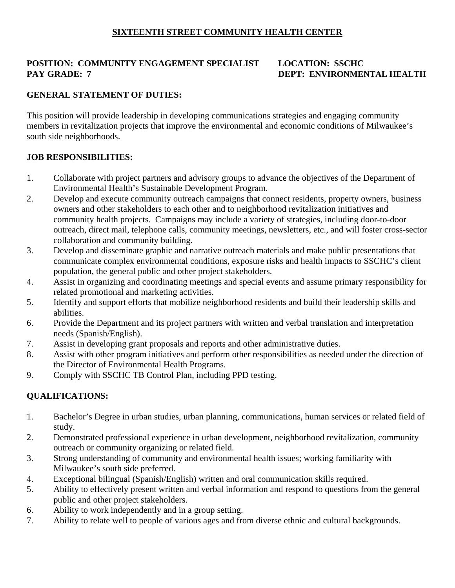## **SIXTEENTH STREET COMMUNITY HEALTH CENTER**

# **POSITION: COMMUNITY ENGAGEMENT SPECIALIST LOCATION: SSCHC PAY GRADE: 7** DEPT: ENVIRONMENTAL HEALTH

## **GENERAL STATEMENT OF DUTIES:**

This position will provide leadership in developing communications strategies and engaging community members in revitalization projects that improve the environmental and economic conditions of Milwaukee's south side neighborhoods.

### **JOB RESPONSIBILITIES:**

- 1. Collaborate with project partners and advisory groups to advance the objectives of the Department of Environmental Health's Sustainable Development Program.
- 2. Develop and execute community outreach campaigns that connect residents, property owners, business owners and other stakeholders to each other and to neighborhood revitalization initiatives and community health projects. Campaigns may include a variety of strategies, including door-to-door outreach, direct mail, telephone calls, community meetings, newsletters, etc., and will foster cross-sector collaboration and community building.
- 3. Develop and disseminate graphic and narrative outreach materials and make public presentations that communicate complex environmental conditions, exposure risks and health impacts to SSCHC's client population, the general public and other project stakeholders.
- 4. Assist in organizing and coordinating meetings and special events and assume primary responsibility for related promotional and marketing activities.
- 5. Identify and support efforts that mobilize neighborhood residents and build their leadership skills and abilities.
- 6. Provide the Department and its project partners with written and verbal translation and interpretation needs (Spanish/English).
- 7. Assist in developing grant proposals and reports and other administrative duties.
- 8. Assist with other program initiatives and perform other responsibilities as needed under the direction of the Director of Environmental Health Programs.
- 9. Comply with SSCHC TB Control Plan, including PPD testing.

# **QUALIFICATIONS:**

- 1. Bachelor's Degree in urban studies, urban planning, communications, human services or related field of study.
- 2. Demonstrated professional experience in urban development, neighborhood revitalization, community outreach or community organizing or related field.
- 3. Strong understanding of community and environmental health issues; working familiarity with Milwaukee's south side preferred.
- 4. Exceptional bilingual (Spanish/English) written and oral communication skills required.
- 5. Ability to effectively present written and verbal information and respond to questions from the general public and other project stakeholders.
- 6. Ability to work independently and in a group setting.
- 7. Ability to relate well to people of various ages and from diverse ethnic and cultural backgrounds.